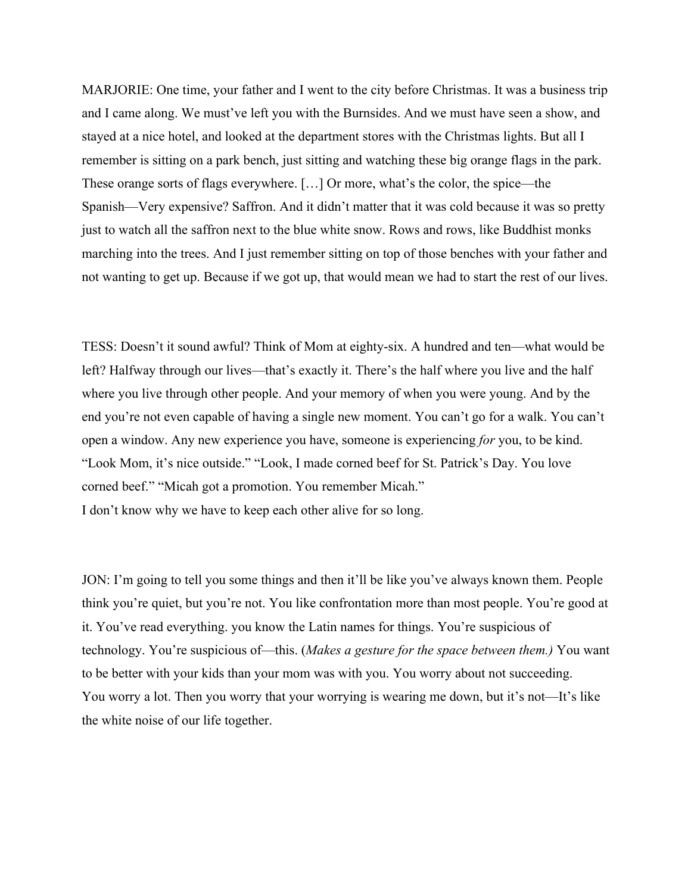MARJORIE: One time, your father and I went to the city before Christmas. It was a business trip and I came along. We must've left you with the Burnsides. And we must have seen a show, and stayed at a nice hotel, and looked at the department stores with the Christmas lights. But all I remember is sitting on a park bench, just sitting and watching these big orange flags in the park. These orange sorts of flags everywhere. […] Or more, what's the color, the spice—the Spanish—Very expensive? Saffron. And it didn't matter that it was cold because it was so pretty just to watch all the saffron next to the blue white snow. Rows and rows, like Buddhist monks marching into the trees. And I just remember sitting on top of those benches with your father and not wanting to get up. Because if we got up, that would mean we had to start the rest of our lives.

TESS: Doesn't it sound awful? Think of Mom at eighty-six. A hundred and ten—what would be left? Halfway through our lives—that's exactly it. There's the half where you live and the half where you live through other people. And your memory of when you were young. And by the end you're not even capable of having a single new moment. You can't go for a walk. You can't open a window. Any new experience you have, someone is experiencing *for* you, to be kind. "Look Mom, it's nice outside." "Look, I made corned beef for St. Patrick's Day. You love corned beef." "Micah got a promotion. You remember Micah." I don't know why we have to keep each other alive for so long.

JON: I'm going to tell you some things and then it'll be like you've always known them. People think you're quiet, but you're not. You like confrontation more than most people. You're good at it. You've read everything. you know the Latin names for things. You're suspicious of technology. You're suspicious of—this. (*Makes a gesture for the space between them.)* You want to be better with your kids than your mom was with you. You worry about not succeeding. You worry a lot. Then you worry that your worrying is wearing me down, but it's not—It's like the white noise of our life together.